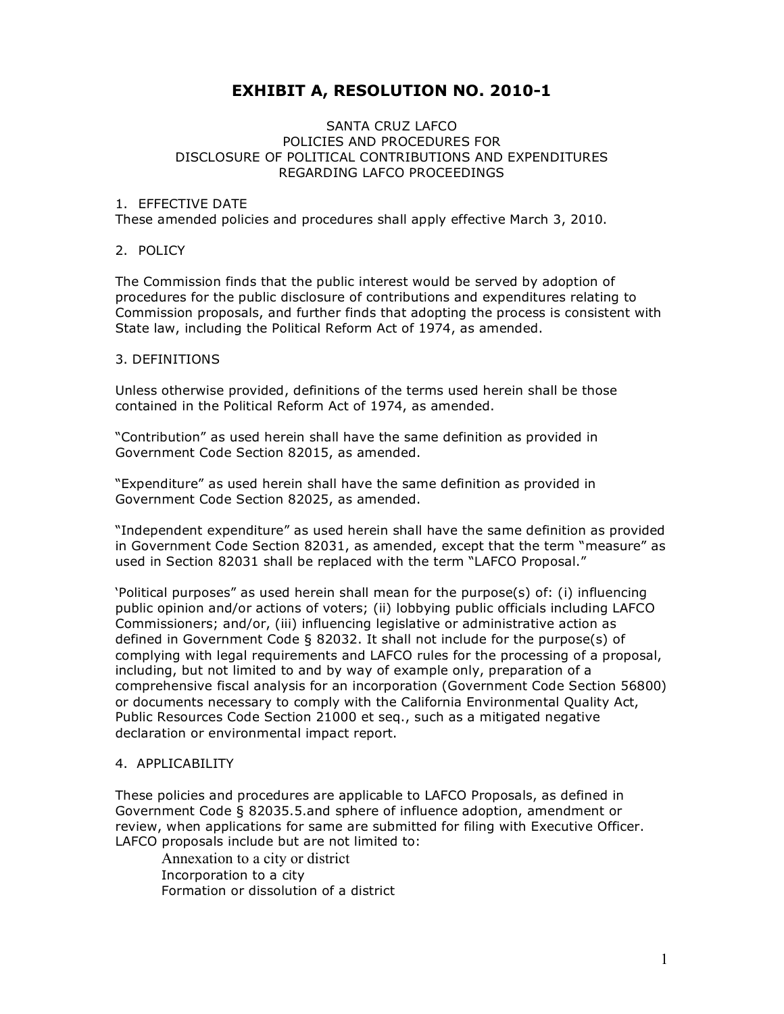# **EXHIBIT A, RESOLUTION NO. 2010-1**

#### SANTA CRUZ LAFCO POLICIES AND PROCEDURES FOR DISCLOSURE OF POLITICAL CONTRIBUTIONS AND EXPENDITURES REGARDING LAFCO PROCEEDINGS

#### 1. EFFECTIVE DATE

These amended policies and procedures shall apply effective March 3, 2010.

#### 2. POLICY

The Commission finds that the public interest would be served by adoption of procedures for the public disclosure of contributions and expenditures relating to Commission proposals, and further finds that adopting the process is consistent with State law, including the Political Reform Act of 1974, as amended.

#### 3. DEFINITIONS

Unless otherwise provided, definitions of the terms used herein shall be those contained in the Political Reform Act of 1974, as amended.

"Contribution" as used herein shall have the same definition as provided in Government Code Section 82015, as amended.

"Expenditure" as used herein shall have the same definition as provided in Government Code Section 82025, as amended.

"Independent expenditure" as used herein shall have the same definition as provided in Government Code Section 82031, as amended, except that the term "measure" as used in Section 82031 shall be replaced with the term "LAFCO Proposal."

'Political purposes" as used herein shall mean for the purpose(s) of: (i) influencing public opinion and/or actions of voters; (ii) lobbying public officials including LAFCO Commissioners; and/or, (iii) influencing legislative or administrative action as defined in Government Code § 82032. It shall not include for the purpose(s) of complying with legal requirements and LAFCO rules for the processing of a proposal, including, but not limited to and by way of example only, preparation of a comprehensive fiscal analysis for an incorporation (Government Code Section 56800) or documents necessary to comply with the California Environmental Quality Act, Public Resources Code Section 21000 et seq., such as a mitigated negative declaration or environmental impact report.

#### 4. APPLICABILITY

These policies and procedures are applicable to LAFCO Proposals, as defined in Government Code § 82035.5.and sphere of influence adoption, amendment or review, when applications for same are submitted for filing with Executive Officer. LAFCO proposals include but are not limited to:

Annexation to a city or district Incorporation to a city Formation or dissolution of a district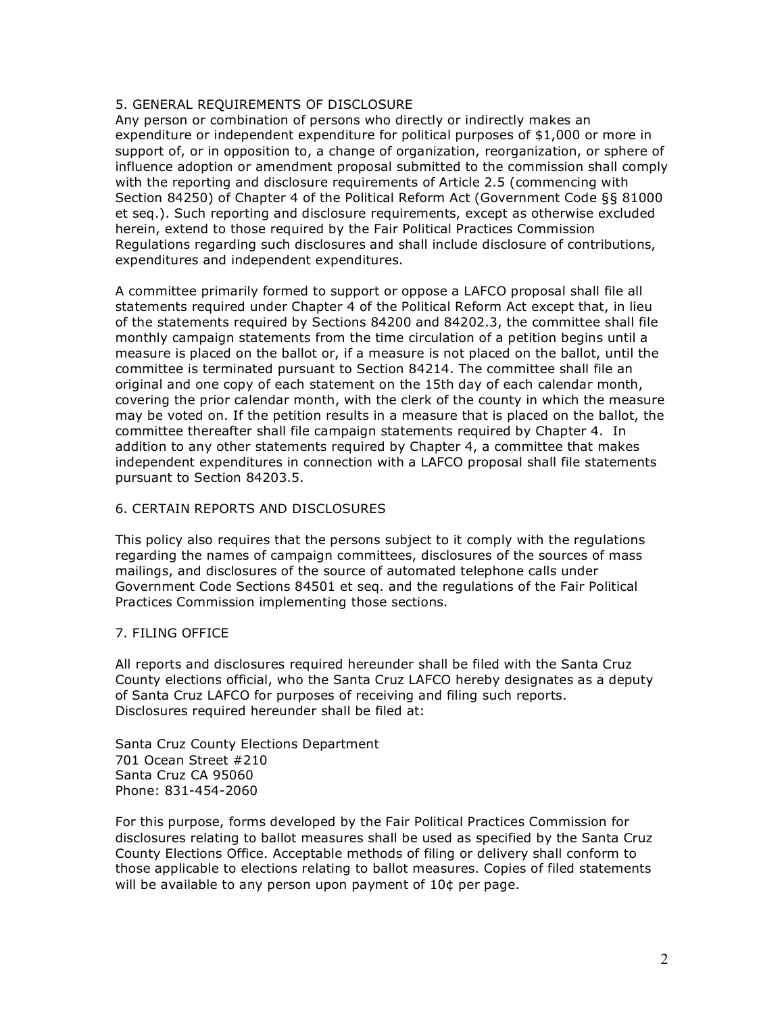# 5. GENERAL REQUIREMENTS OF DISCLOSURE

Any person or combination of persons who directly or indirectly makes an expenditure or independent expenditure for political purposes of \$1,000 or more in support of, or in opposition to, a change of organization, reorganization, or sphere of influence adoption or amendment proposal submitted to the commission shall comply with the reporting and disclosure requirements of Article 2.5 (commencing with Section 84250) of Chapter 4 of the Political Reform Act (Government Code §§ 81000 et seq.). Such reporting and disclosure requirements, except as otherwise excluded herein, extend to those required by the Fair Political Practices Commission Regulations regarding such disclosures and shall include disclosure of contributions, expenditures and independent expenditures.

A committee primarily formed to support or oppose a LAFCO proposal shall file all statements required under Chapter 4 of the Political Reform Act except that, in lieu of the statements required by Sections 84200 and 84202.3, the committee shall file monthly campaign statements from the time circulation of a petition begins until a measure is placed on the ballot or, if a measure is not placed on the ballot, until the committee is terminated pursuant to Section 84214. The committee shall file an original and one copy of each statement on the 15th day of each calendar month, covering the prior calendar month, with the clerk of the county in which the measure may be voted on. If the petition results in a measure that is placed on the ballot, the committee thereafter shall file campaign statements required by Chapter 4. In addition to any other statements required by Chapter 4, a committee that makes independent expenditures in connection with a LAFCO proposal shall file statements pursuant to Section 84203.5.

## 6. CERTAIN REPORTS AND DISCLOSURES

This policy also requires that the persons subject to it comply with the regulations regarding the names of campaign committees, disclosures of the sources of mass mailings, and disclosures of the source of automated telephone calls under Government Code Sections 84501 et seq. and the regulations of the Fair Political Practices Commission implementing those sections.

## 7. FILING OFFICE

All reports and disclosures required hereunder shall be filed with the Santa Cruz County elections official, who the Santa Cruz LAFCO hereby designates as a deputy of Santa Cruz LAFCO for purposes of receiving and filing such reports. Disclosures required hereunder shall be filed at:

Santa Cruz County Elections Department 701 Ocean Street #210 Santa Cruz CA 95060 Phone: 831-454-2060

For this purpose, forms developed by the Fair Political Practices Commission for disclosures relating to ballot measures shall be used as specified by the Santa Cruz County Elections Office. Acceptable methods of filing or delivery shall conform to those applicable to elections relating to ballot measures. Copies of filed statements will be available to any person upon payment of 10¢ per page.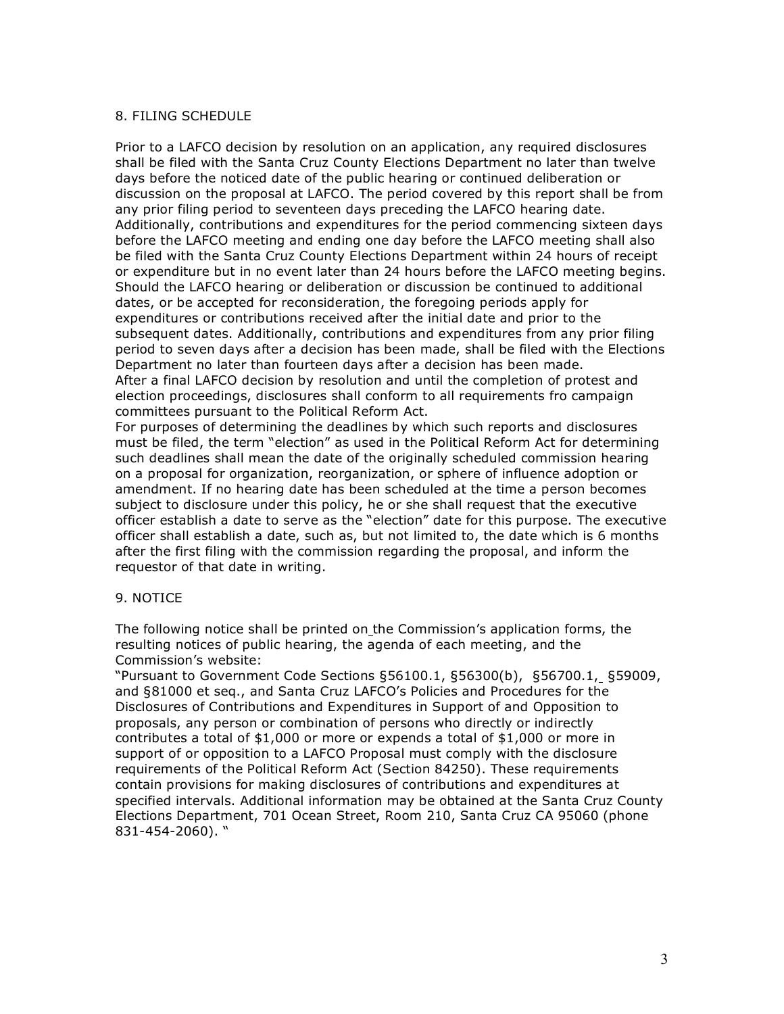## 8. FILING SCHEDULE

Prior to a LAFCO decision by resolution on an application, any required disclosures shall be filed with the Santa Cruz County Elections Department no later than twelve days before the noticed date of the public hearing or continued deliberation or discussion on the proposal at LAFCO. The period covered by this report shall be from any prior filing period to seventeen days preceding the LAFCO hearing date. Additionally, contributions and expenditures for the period commencing sixteen days before the LAFCO meeting and ending one day before the LAFCO meeting shall also be filed with the Santa Cruz County Elections Department within 24 hours of receipt or expenditure but in no event later than 24 hours before the LAFCO meeting begins. Should the LAFCO hearing or deliberation or discussion be continued to additional dates, or be accepted for reconsideration, the foregoing periods apply for expenditures or contributions received after the initial date and prior to the subsequent dates. Additionally, contributions and expenditures from any prior filing period to seven days after a decision has been made, shall be filed with the Elections Department no later than fourteen days after a decision has been made. After a final LAFCO decision by resolution and until the completion of protest and election proceedings, disclosures shall conform to all requirements fro campaign committees pursuant to the Political Reform Act.

For purposes of determining the deadlines by which such reports and disclosures must be filed, the term "election" as used in the Political Reform Act for determining such deadlines shall mean the date of the originally scheduled commission hearing on a proposal for organization, reorganization, or sphere of influence adoption or amendment. If no hearing date has been scheduled at the time a person becomes subject to disclosure under this policy, he or she shall request that the executive officer establish a date to serve as the "election" date for this purpose. The executive officer shall establish a date, such as, but not limited to, the date which is 6 months after the first filing with the commission regarding the proposal, and inform the requestor of that date in writing.

## 9. NOTICE

The following notice shall be printed on the Commission's application forms, the resulting notices of public hearing, the agenda of each meeting, and the Commission's website:

"Pursuant to Government Code Sections §56100.1, §56300(b), §56700.1, §59009, and §81000 et seq., and Santa Cruz LAFCO's Policies and Procedures for the Disclosures of Contributions and Expenditures in Support of and Opposition to proposals, any person or combination of persons who directly or indirectly contributes a total of \$1,000 or more or expends a total of \$1,000 or more in support of or opposition to a LAFCO Proposal must comply with the disclosure requirements of the Political Reform Act (Section 84250). These requirements contain provisions for making disclosures of contributions and expenditures at specified intervals. Additional information may be obtained at the Santa Cruz County Elections Department, 701 Ocean Street, Room 210, Santa Cruz CA 95060 (phone 831-454-2060). "